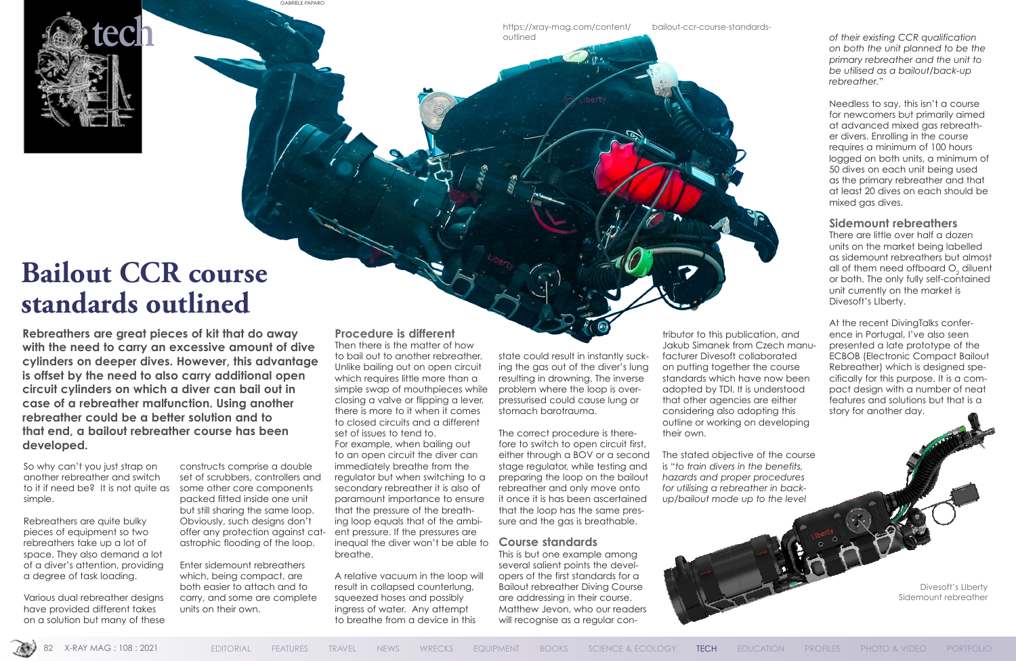

# **Bailout CCR course standards outlined**

**Rebreathers are great pieces of kit that do away with the need to carry an excessive amount of dive cylinders on deeper dives. However, this advantage is offset by the need to also carry additional open circuit cylinders on which a diver can bail out in case of a rebreather malfunction. Using another rebreather could be a better solution and to that end, a bailout rebreather course has been developed.**

So why can't you just strap on another rebreather and switch to it if need be? It is not quite as some other core components simple.

Rebreathers are quite bulky pieces of equipment so two rebreathers take up a lot of space. They also demand a lot of a diver's attention, providing a degree of task loading.

Various dual rebreather designs have provided different takes on a solution but many of these

constructs comprise a double set of scrubbers, controllers and packed fitted inside one unit but still sharing the same loop. Obviously, such designs don't offer any protection against catastrophic flooding of the loop.

Enter sidemount rebreathers which, being compact, are both easier to attach and to carry, and some are complete units on their own.

https://xray-mag.com/content/ bailout-ccr-course-standardsoutlined

#### **Procedure is different**

Then there is the matter of how to bail out to another rebreather. Unlike bailing out on open circuit which requires little more than a simple swap of mouthpieces while closing a valve or flipping a lever, there is more to it when it comes to closed circuits and a different set of issues to tend to. For example, when bailing out to an open circuit the diver can immediately breathe from the regulator but when switching to a secondary rebreather it is also of paramount importance to ensure that the pressure of the breathing loop equals that of the ambient pressure. If the pressures are inequal the diver won't be able to breathe.

Needless to say, this isn't a course for newcomers but primarily aimed at advanced mixed gas rebreather divers. Enrolling in the course requires a minimum of 100 hours logged on both units, a minimum of 50 dives on each unit being used as the primary rebreather and that at least 20 dives on each should be mixed aas dives.

A relative vacuum in the loop will result in collapsed counterlung, squeezed hoses and possibly ingress of water. Any attempt to breathe from a device in this

state could result in instantly sucking the gas out of the diver's lung resulting in drowning. The inverse problem where the loop is overpressurised could cause lung or stomach barotrauma.

The correct procedure is therefore to switch to open circuit first, either through a BOV or a second stage regulator, while testing and preparing the loop on the bailout rebreather and only move onto it once it is has been ascertained that the loop has the same pressure and the gas is breathable.

#### **Course standards**

This is but one example among several salient points the developers of the first standards for a Bailout rebreather Diving Course are addressing in their course. Matthew Jevon, who our readers will recognise as a regular con-

tributor to this publication, and Jakub Simanek from Czech manufacturer Divesoft collaborated on putting together the course standards which have now been adopted by TDI. It is understood that other agencies are either considering also adopting this outline or working on developing their own.

The stated objective of the course is "*to train divers in the benefits, hazards and proper procedures for utilising a rebreather in backup/bailout mode up to the level* 



*of their existing CCR qualification on both the unit planned to be the primary rebreather and the unit to be utilised as a bailout/back-up rebreather.*"

#### **Sidemount rebreathers**

There are little over half a dozen units on the market being labelled as sidemount rebreathers but almost all of them need offboard  $\mathrm{O}_2$  diluent or both. The only fully self-contained unit currently on the market is Divesoft's LIberty.

At the recent DivingTalks conference in Portugal, I've also seen presented a late prototype of the ECBOB (Electronic Compact Bailout Rebreather) which is designed specifically for this purpose. It is a compact design with a number of neat features and solutions but that is a story for another day.

GABRIELE PAPARO

Divesoft's LIberty Sidemount rebreather